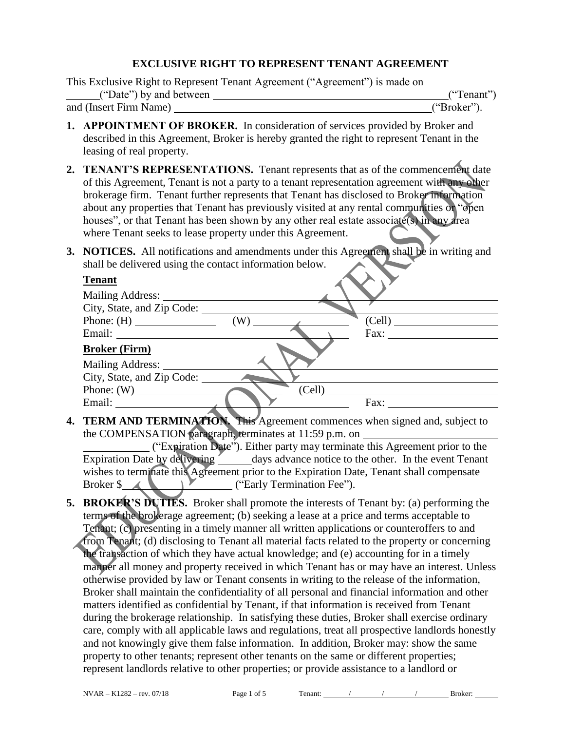#### **EXCLUSIVE RIGHT TO REPRESENT TENANT AGREEMENT**

| This Exclusive Right to Represent Tenant Agreement ("Agreement") is made on |             |
|-----------------------------------------------------------------------------|-------------|
| ("Date") by and between                                                     | ("Tenant")  |
| and (Insert Firm Name)                                                      | ("Broker"). |

- **1. APPOINTMENT OF BROKER.** In consideration of services provided by Broker and described in this Agreement, Broker is hereby granted the right to represent Tenant in the leasing of real property.
- **2. TENANT'S REPRESENTATIONS.** Tenant represents that as of the commencement date of this Agreement, Tenant is not a party to a tenant representation agreement with any other brokerage firm. Tenant further represents that Tenant has disclosed to Broker information about any properties that Tenant has previously visited at any rental communities or "open houses", or that Tenant has been shown by any other real estate associate(s) in any area where Tenant seeks to lease property under this Agreement.
- **3. NOTICES.** All notifications and amendments under this Agreement shall be in writing and shall be delivered using the contact information below.

| <b>Tenant</b>              |        |        |
|----------------------------|--------|--------|
| Mailing Address:           |        |        |
| City, State, and Zip Code: |        |        |
|                            | (W)    | (Cell) |
|                            |        | Fax:   |
| <b>Broker (Firm)</b>       |        |        |
| <b>Mailing Address:</b>    |        |        |
| City, State, and Zip Code: |        |        |
|                            | (Cell) |        |
| Email:                     |        | Fax:   |
|                            |        |        |

**4. TERM AND TERMINATION.** This Agreement commences when signed and, subject to the COMPENSATION paragraph, terminates at 11:59 p.m. on \_

("Expiration Date"). Either party may terminate this Agreement prior to the Expiration Date by delivering days advance notice to the other. In the event Tenant wishes to terminate this Agreement prior to the Expiration Date, Tenant shall compensate Broker \$ ("Early Termination Fee").

**5. BROKER'S DUTIES.** Broker shall promote the interests of Tenant by: (a) performing the terms of the brokerage agreement; (b) seeking a lease at a price and terms acceptable to Tenant; (c) presenting in a timely manner all written applications or counteroffers to and from Tenant; (d) disclosing to Tenant all material facts related to the property or concerning the transaction of which they have actual knowledge; and (e) accounting for in a timely manner all money and property received in which Tenant has or may have an interest. Unless otherwise provided by law or Tenant consents in writing to the release of the information, Broker shall maintain the confidentiality of all personal and financial information and other matters identified as confidential by Tenant, if that information is received from Tenant during the brokerage relationship. In satisfying these duties, Broker shall exercise ordinary care, comply with all applicable laws and regulations, treat all prospective landlords honestly and not knowingly give them false information. In addition, Broker may: show the same property to other tenants; represent other tenants on the same or different properties; represent landlords relative to other properties; or provide assistance to a landlord or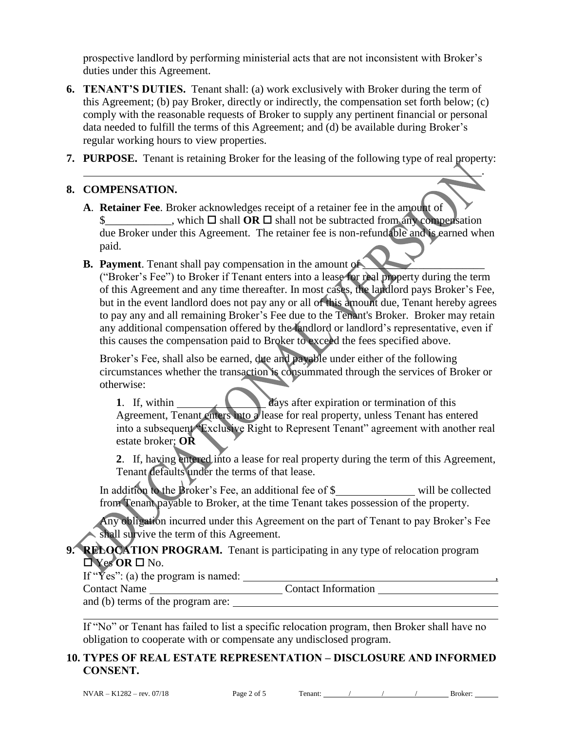prospective landlord by performing ministerial acts that are not inconsistent with Broker's duties under this Agreement.

- **6. TENANT'S DUTIES.** Tenant shall: (a) work exclusively with Broker during the term of this Agreement; (b) pay Broker, directly or indirectly, the compensation set forth below; (c) comply with the reasonable requests of Broker to supply any pertinent financial or personal data needed to fulfill the terms of this Agreement; and (d) be available during Broker's regular working hours to view properties.
- **7. PURPOSE.** Tenant is retaining Broker for the leasing of the following type of real property:

#### **8. COMPENSATION.**

- **A**. **Retainer Fee**. Broker acknowledges receipt of a retainer fee in the amount of  $\frac{1}{2}$ , which  $\Box$  shall **OR**  $\Box$  shall not be subtracted from any compensation due Broker under this Agreement. The retainer fee is non-refundable and is earned when paid.
- **B.** Payment. Tenant shall pay compensation in the amount of

("Broker's Fee") to Broker if Tenant enters into a lease for real property during the term of this Agreement and any time thereafter. In most cases, the landlord pays Broker's Fee, but in the event landlord does not pay any or all of this amount due, Tenant hereby agrees to pay any and all remaining Broker's Fee due to the Tenant's Broker. Broker may retain any additional compensation offered by the landlord or landlord's representative, even if this causes the compensation paid to Broker to exceed the fees specified above.

Broker's Fee, shall also be earned, due and payable under either of the following circumstances whether the transaction is consummated through the services of Broker or otherwise:

**1.** If, within days after expiration or termination of this Agreement, Tenant enters into a lease for real property, unless Tenant has entered into a subsequent "Exclusive Right to Represent Tenant" agreement with another real estate broker; **OR**

**2**. If, having entered into a lease for real property during the term of this Agreement, Tenant defaults under the terms of that lease.

In addition to the Broker's Fee, an additional fee of \$ will be collected from Tenant payable to Broker, at the time Tenant takes possession of the property.

Any obligation incurred under this Agreement on the part of Tenant to pay Broker's Fee shall survive the term of this Agreement.

# **9. RELOCATION PROGRAM.** Tenant is participating in any type of relocation program Yes **OR** No.

If " $\bar{Y}$ es": (a) the program is named:  $\frac{1}{\bar{Y}}$  ,  $\frac{1}{\bar{Y}}$  ,  $\frac{1}{\bar{Y}}$  ,  $\frac{1}{\bar{Y}}$  ,  $\frac{1}{\bar{Y}}$  ,  $\frac{1}{\bar{Y}}$  ,  $\frac{1}{\bar{Y}}$  ,  $\frac{1}{\bar{Y}}$  ,  $\frac{1}{\bar{Y}}$  ,  $\frac{1}{\bar{Y}}$  ,  $\frac{1}{\bar{Y}}$  ,  $\frac{1}{\bar{Y}}$  ,

Contact Name \_\_\_\_\_\_\_\_\_\_\_\_\_\_\_\_\_\_\_\_\_\_\_\_\_\_\_\_\_\_\_\_\_Contact Information

and (b) terms of the program are:

If "No" or Tenant has failed to list a specific relocation program, then Broker shall have no obligation to cooperate with or compensate any undisclosed program.

## **10. TYPES OF REAL ESTATE REPRESENTATION – DISCLOSURE AND INFORMED CONSENT.**

.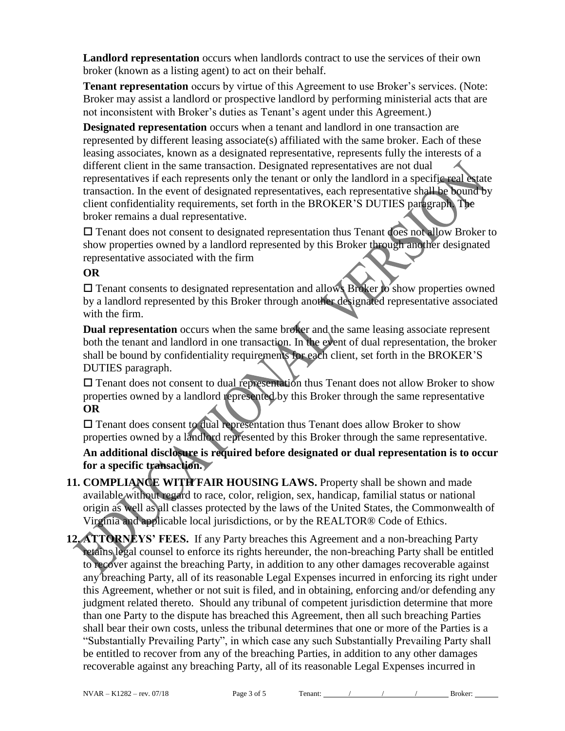**Landlord representation** occurs when landlords contract to use the services of their own broker (known as a listing agent) to act on their behalf.

**Tenant representation** occurs by virtue of this Agreement to use Broker's services. (Note: Broker may assist a landlord or prospective landlord by performing ministerial acts that are not inconsistent with Broker's duties as Tenant's agent under this Agreement.)

**Designated representation** occurs when a tenant and landlord in one transaction are represented by different leasing associate(s) affiliated with the same broker. Each of these leasing associates, known as a designated representative, represents fully the interests of a different client in the same transaction. Designated representatives are not dual representatives if each represents only the tenant or only the landlord in a specific real estate transaction. In the event of designated representatives, each representative shall be bound by client confidentiality requirements, set forth in the BROKER'S DUTIES paragraph. The broker remains a dual representative.

 Tenant does not consent to designated representation thus Tenant does not allow Broker to show properties owned by a landlord represented by this Broker through another designated representative associated with the firm

## **OR**

 Tenant consents to designated representation and allows Broker to show properties owned by a landlord represented by this Broker through another designated representative associated with the firm.

**Dual representation** occurs when the same broker and the same leasing associate represent both the tenant and landlord in one transaction. In the event of dual representation, the broker shall be bound by confidentiality requirements for each client, set forth in the BROKER'S DUTIES paragraph.

 Tenant does not consent to dual representation thus Tenant does not allow Broker to show properties owned by a landlord represented by this Broker through the same representative **OR**

 Tenant does consent to dual representation thus Tenant does allow Broker to show properties owned by a landlord represented by this Broker through the same representative.

**An additional disclosure is required before designated or dual representation is to occur for a specific transaction.**

- **11. COMPLIANCE WITH FAIR HOUSING LAWS.** Property shall be shown and made available without regard to race, color, religion, sex, handicap, familial status or national origin as well as all classes protected by the laws of the United States, the Commonwealth of Virginia and applicable local jurisdictions, or by the REALTOR® Code of Ethics.
- **12. ATTORNEYS' FEES.** If any Party breaches this Agreement and a non-breaching Party retains legal counsel to enforce its rights hereunder, the non-breaching Party shall be entitled to recover against the breaching Party, in addition to any other damages recoverable against any breaching Party, all of its reasonable Legal Expenses incurred in enforcing its right under this Agreement, whether or not suit is filed, and in obtaining, enforcing and/or defending any judgment related thereto. Should any tribunal of competent jurisdiction determine that more than one Party to the dispute has breached this Agreement, then all such breaching Parties shall bear their own costs, unless the tribunal determines that one or more of the Parties is a "Substantially Prevailing Party", in which case any such Substantially Prevailing Party shall be entitled to recover from any of the breaching Parties, in addition to any other damages recoverable against any breaching Party, all of its reasonable Legal Expenses incurred in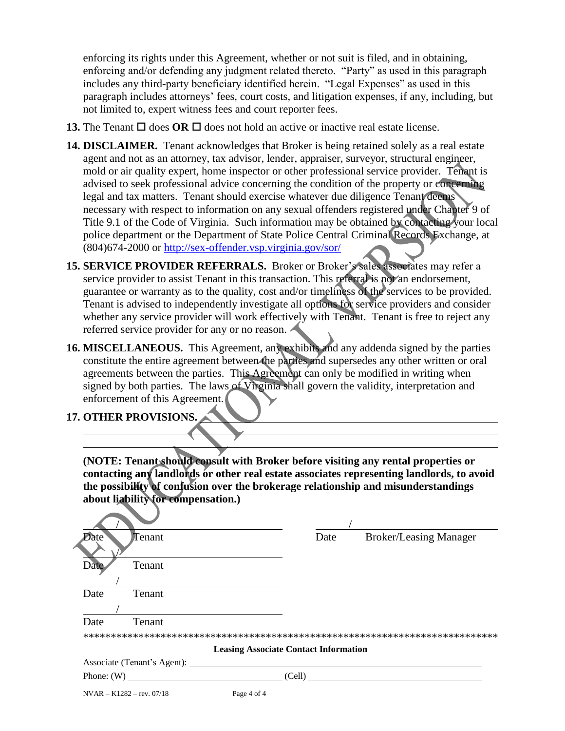enforcing its rights under this Agreement, whether or not suit is filed, and in obtaining, enforcing and/or defending any judgment related thereto. "Party" as used in this paragraph includes any third-party beneficiary identified herein. "Legal Expenses" as used in this paragraph includes attorneys' fees, court costs, and litigation expenses, if any, including, but not limited to, expert witness fees and court reporter fees.

- **13.** The Tenant  $\Box$  does **OR**  $\Box$  does not hold an active or inactive real estate license.
- **14. DISCLAIMER.** Tenant acknowledges that Broker is being retained solely as a real estate agent and not as an attorney, tax advisor, lender, appraiser, surveyor, structural engineer, mold or air quality expert, home inspector or other professional service provider. Tenant is advised to seek professional advice concerning the condition of the property or concerning legal and tax matters. Tenant should exercise whatever due diligence Tenant deems necessary with respect to information on any sexual offenders registered under Chapter 9 of Title 9.1 of the Code of Virginia. Such information may be obtained by contacting your local police department or the Department of State Police Central Criminal Records Exchange, at (804)674-2000 or<http://sex-offender.vsp.virginia.gov/sor/>
- **15. SERVICE PROVIDER REFERRALS.** Broker or Broker's sales associates may refer a service provider to assist Tenant in this transaction. This referral is not an endorsement, guarantee or warranty as to the quality, cost and/or timeliness of the services to be provided. Tenant is advised to independently investigate all options for service providers and consider whether any service provider will work effectively with Tenant. Tenant is free to reject any referred service provider for any or no reason.
- **16. MISCELLANEOUS.** This Agreement, any exhibits and any addenda signed by the parties constitute the entire agreement between the parties and supersedes any other written or oral agreements between the parties. This Agreement can only be modified in writing when signed by both parties. The laws of Virginia shall govern the validity, interpretation and enforcement of this Agreement.

**17. OTHER PROVISIONS.**

**(NOTE: Tenant should consult with Broker before visiting any rental properties or contacting any landlords or other real estate associates representing landlords, to avoid the possibility of confusion over the brokerage relationship and misunderstandings about liability for compensation.)**

| Date | Tenant                      |             | Date                                         | <b>Broker/Leasing Manager</b> |
|------|-----------------------------|-------------|----------------------------------------------|-------------------------------|
|      |                             |             |                                              |                               |
| Date | Tenant                      |             |                                              |                               |
|      |                             |             |                                              |                               |
| Date | Tenant                      |             |                                              |                               |
|      |                             |             |                                              |                               |
| Date | Tenant                      |             |                                              |                               |
|      |                             |             |                                              |                               |
|      |                             |             | <b>Leasing Associate Contact Information</b> |                               |
|      |                             |             |                                              |                               |
|      | Phone: $(W)$                |             |                                              | (Cell)                        |
|      | $NVAR - K1282 - rev. 07/18$ | Page 4 of 4 |                                              |                               |